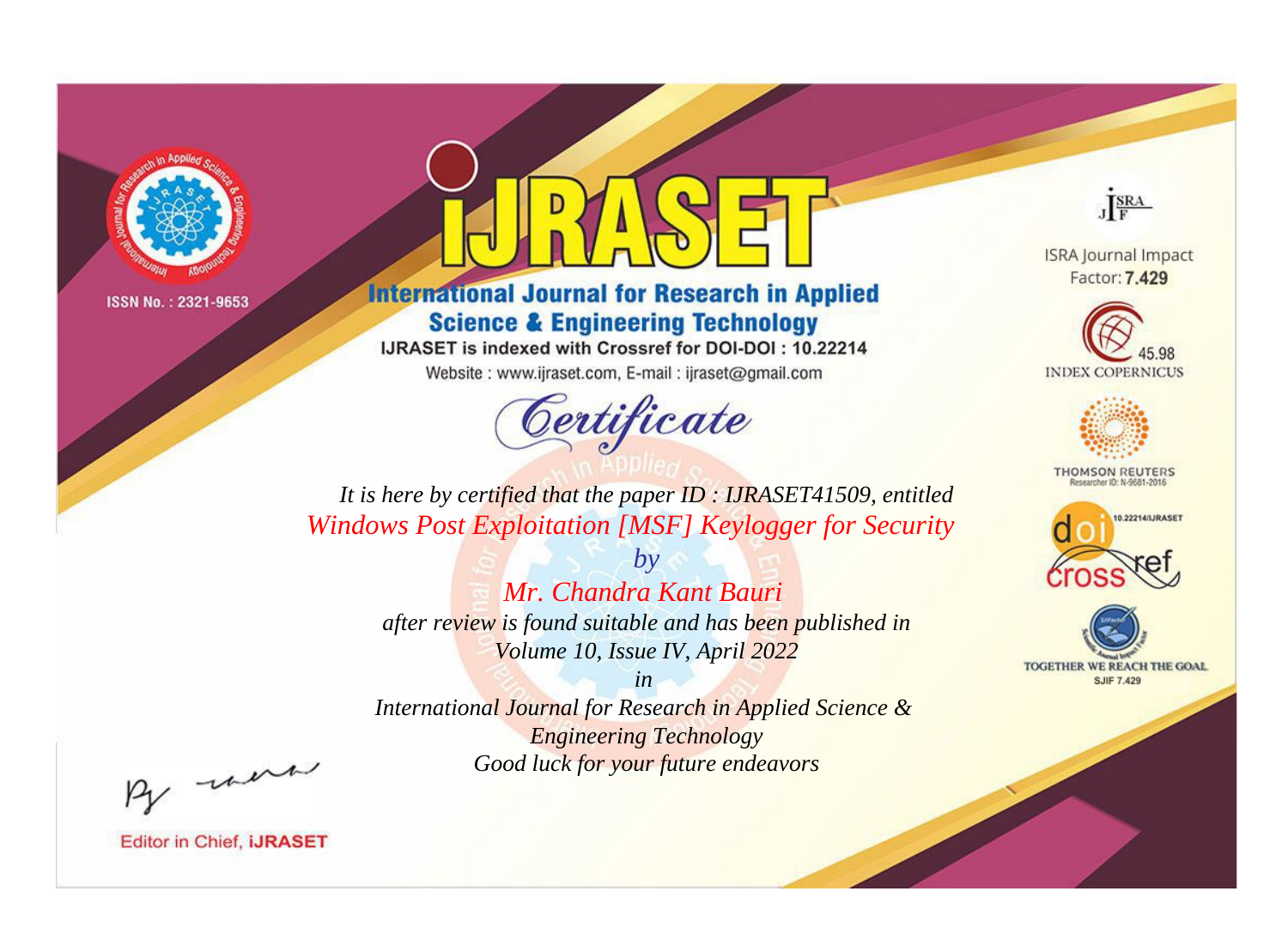

# **International Journal for Research in Applied Science & Engineering Technology**

IJRASET is indexed with Crossref for DOI-DOI: 10.22214

Website: www.ijraset.com, E-mail: ijraset@gmail.com



JERA

**ISRA Journal Impact** Factor: 7.429





**THOMSON REUTERS** 



TOGETHER WE REACH THE GOAL **SJIF 7.429** 

It is here by certified that the paper ID: IJRASET41509, entitled **Windows Post Exploitation [MSF] Keylogger for Security** 

> $b\nu$ Mr. Chandra Kant Bauri after review is found suitable and has been published in Volume 10, Issue IV, April 2022

 $in$ International Journal for Research in Applied Science & **Engineering Technology** Good luck for your future endeavors

By morn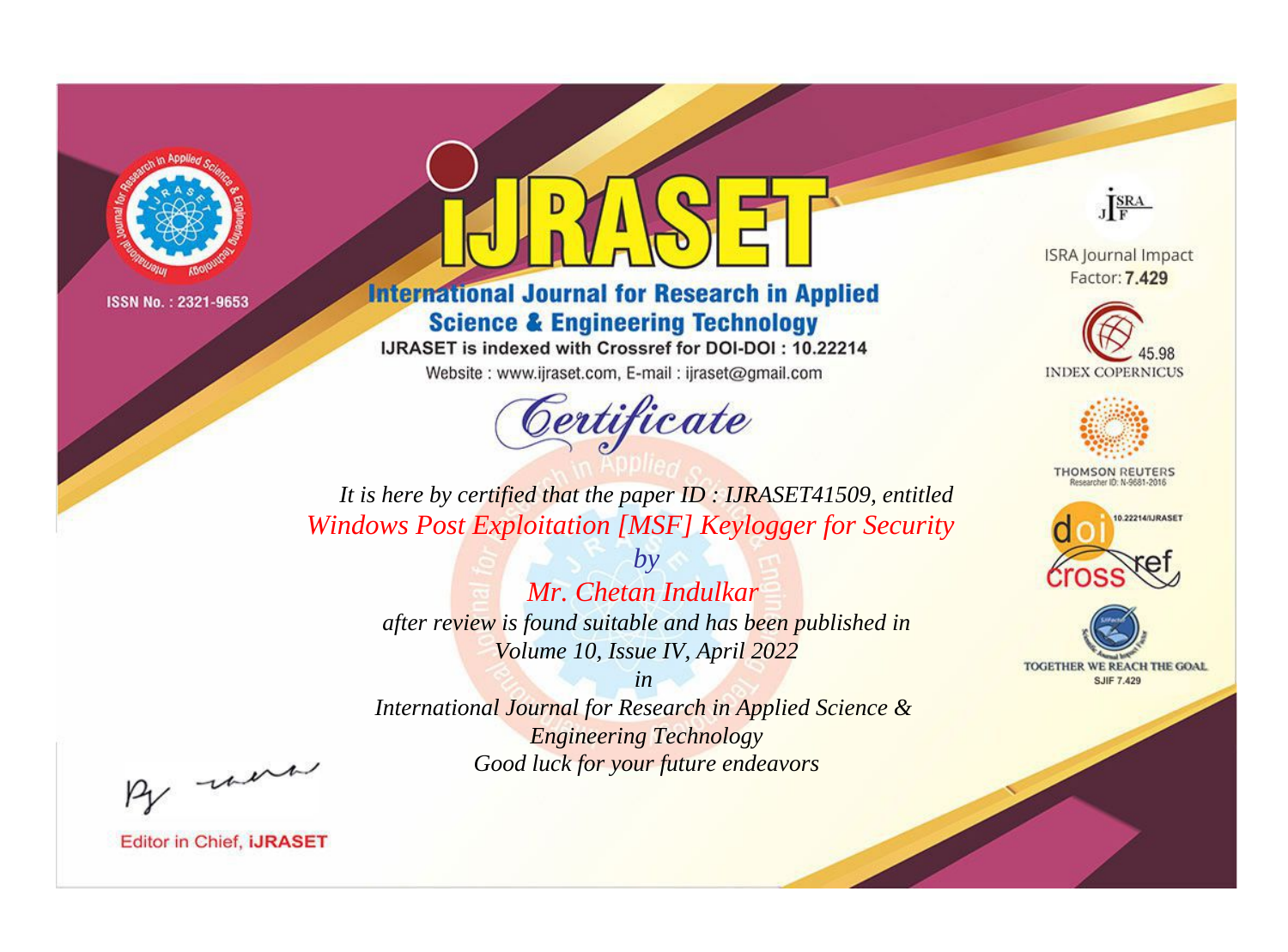

# **International Journal for Research in Applied Science & Engineering Technology**

IJRASET is indexed with Crossref for DOI-DOI: 10.22214

Website: www.ijraset.com, E-mail: ijraset@gmail.com



JERA

**ISRA Journal Impact** Factor: 7.429





**THOMSON REUTERS** 



TOGETHER WE REACH THE GOAL **SJIF 7.429** 

*It is here by certified that the paper ID : IJRASET41509, entitled Windows Post Exploitation [MSF] Keylogger for Security*

> *by Mr. Chetan Indulkar after review is found suitable and has been published in Volume 10, Issue IV, April 2022*

> > *in*

*International Journal for Research in Applied Science & Engineering Technology Good luck for your future endeavors*

By morn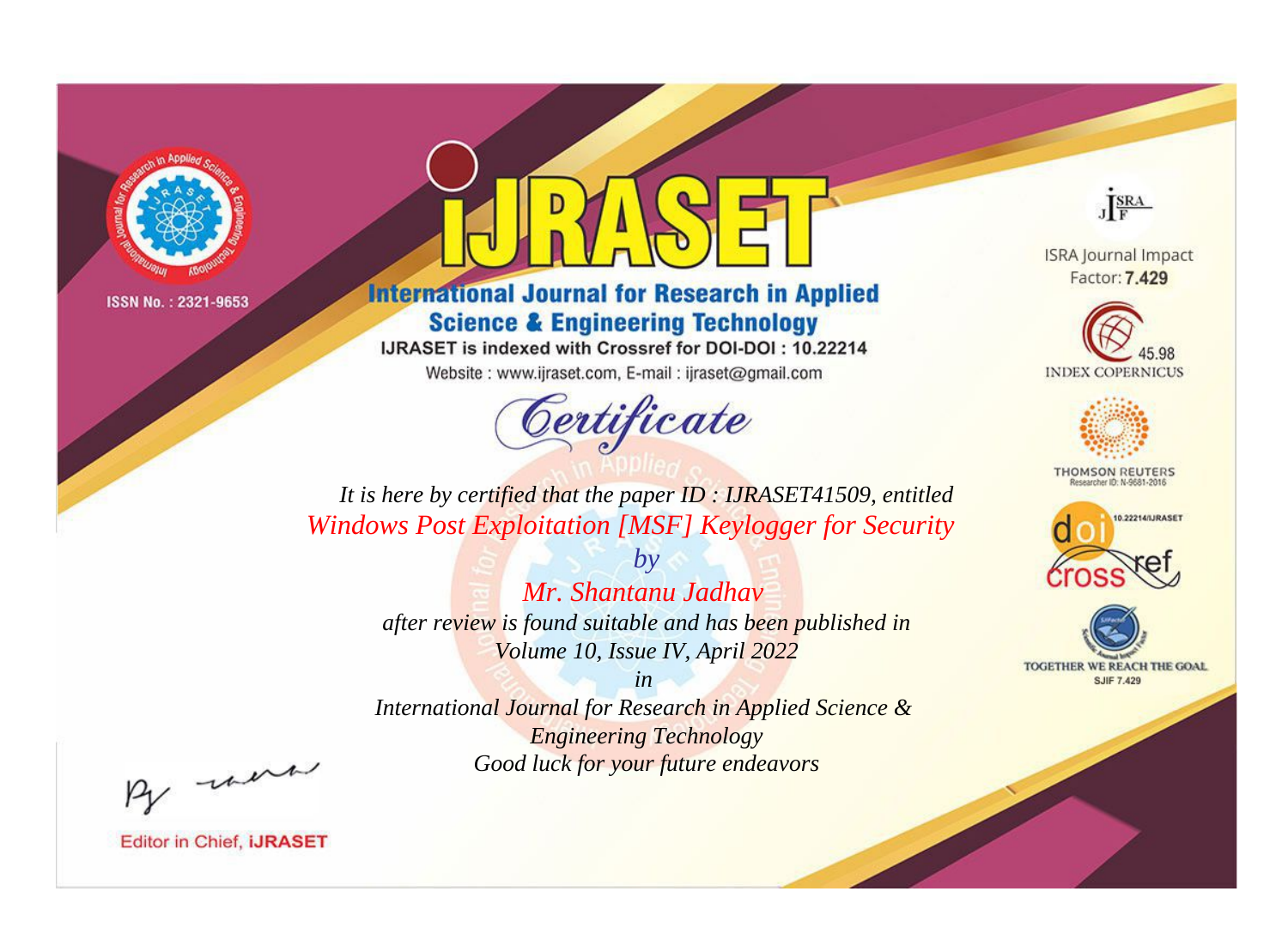

# **International Journal for Research in Applied Science & Engineering Technology**

IJRASET is indexed with Crossref for DOI-DOI: 10.22214

Website: www.ijraset.com, E-mail: ijraset@gmail.com



JERA

**ISRA Journal Impact** Factor: 7.429





**THOMSON REUTERS** 



TOGETHER WE REACH THE GOAL **SJIF 7.429** 

*It is here by certified that the paper ID : IJRASET41509, entitled Windows Post Exploitation [MSF] Keylogger for Security*

> *Mr. Shantanu Jadhav after review is found suitable and has been published in Volume 10, Issue IV, April 2022*

*by*

*in* 

*International Journal for Research in Applied Science & Engineering Technology Good luck for your future endeavors*

By morn